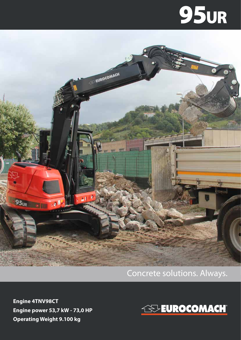## **95ur**



## Concrete solutions. Always.

**Engine 4TNV98CT Engine power 53,7 kW - 73,0 HP Operating Weight 9.100 kg**